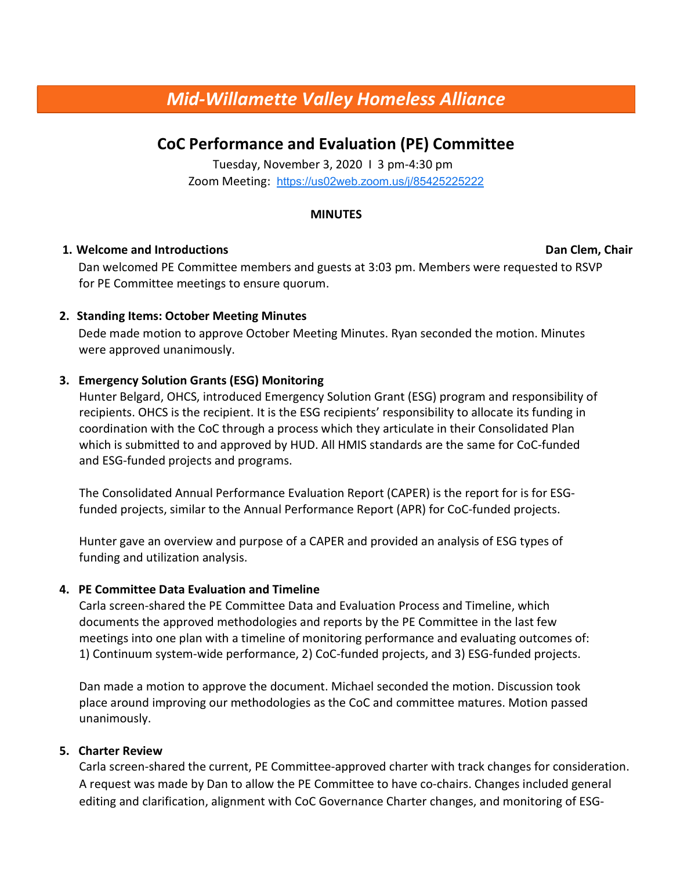# Mid-Willamette Valley Homeless Alliance

# CoC Performance and Evaluation (PE) Committee

Tuesday, November 3, 2020 I 3 pm-4:30 pm Zoom Meeting: https://us02web.zoom.us/j/85425225222

#### MINUTES

#### 1. Welcome and Introductions Dan Clem, Chair

Dan welcomed PE Committee members and guests at 3:03 pm. Members were requested to RSVP for PE Committee meetings to ensure quorum.

# 2. Standing Items: October Meeting Minutes

Dede made motion to approve October Meeting Minutes. Ryan seconded the motion. Minutes were approved unanimously.

# 3. Emergency Solution Grants (ESG) Monitoring

Hunter Belgard, OHCS, introduced Emergency Solution Grant (ESG) program and responsibility of recipients. OHCS is the recipient. It is the ESG recipients' responsibility to allocate its funding in coordination with the CoC through a process which they articulate in their Consolidated Plan which is submitted to and approved by HUD. All HMIS standards are the same for CoC-funded and ESG-funded projects and programs.

The Consolidated Annual Performance Evaluation Report (CAPER) is the report for is for ESGfunded projects, similar to the Annual Performance Report (APR) for CoC-funded projects.

Hunter gave an overview and purpose of a CAPER and provided an analysis of ESG types of funding and utilization analysis.

## 4. PE Committee Data Evaluation and Timeline

Carla screen-shared the PE Committee Data and Evaluation Process and Timeline, which documents the approved methodologies and reports by the PE Committee in the last few meetings into one plan with a timeline of monitoring performance and evaluating outcomes of: 1) Continuum system-wide performance, 2) CoC-funded projects, and 3) ESG-funded projects.

Dan made a motion to approve the document. Michael seconded the motion. Discussion took place around improving our methodologies as the CoC and committee matures. Motion passed unanimously.

## 5. Charter Review

Carla screen-shared the current, PE Committee-approved charter with track changes for consideration. A request was made by Dan to allow the PE Committee to have co-chairs. Changes included general editing and clarification, alignment with CoC Governance Charter changes, and monitoring of ESG-